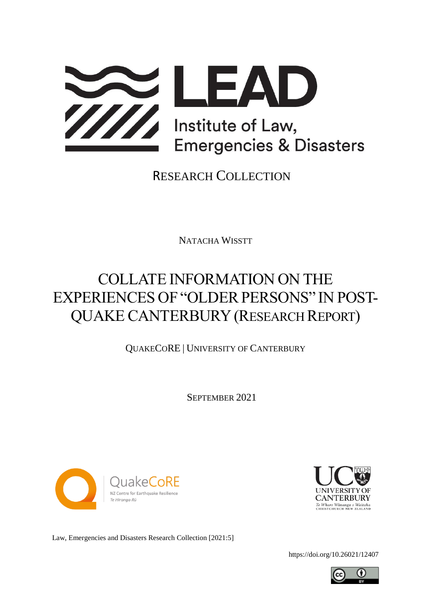

RESEARCH COLLECTION

NATACHA WISSTT

# COLLATE INFORMATION ON THE EXPERIENCES OF "OLDER PERSONS" IN POST-QUAKECANTERBURY (RESEARCH REPORT)

QUAKECORE | UNIVERSITY OF CANTERBURY

SEPTEMBER 2021





Law, Emergencies and Disasters Research Collection [2021:5]

<https://doi.org/10.26021/12407>

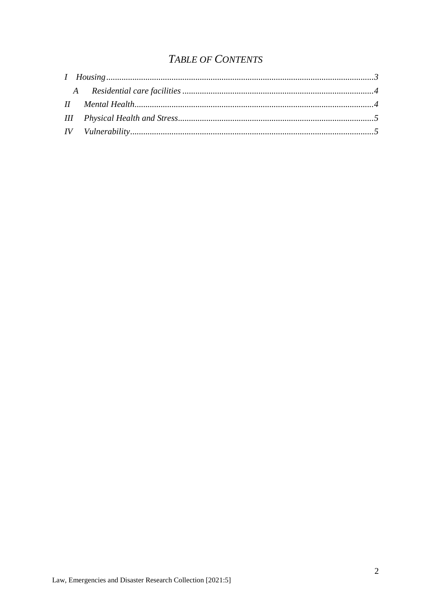### **TABLE OF CONTENTS**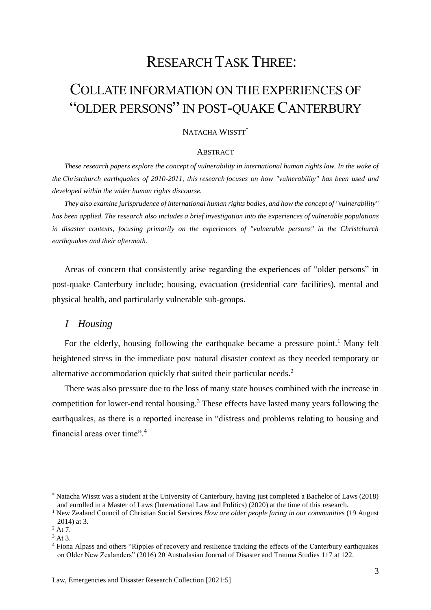### RESEARCH TASK THREE:

## COLLATE INFORMATION ON THE EXPERIENCES OF "OLDER PERSONS" IN POST-QUAKE CANTERBURY

#### NATACHA WISSTT<sup>\*</sup>

#### **ABSTRACT**

*These research papers explore the concept of vulnerability in international human rights law. In the wake of the Christchurch earthquakes of 2010-2011, this research focuses on how "vulnerability" has been used and developed within the wider human rights discourse.* 

*They also examine jurisprudence of international human rights bodies, and how the concept of "vulnerability" has been applied. The research also includes a brief investigation into the experiences of vulnerable populations in disaster contexts, focusing primarily on the experiences of "vulnerable persons" in the Christchurch earthquakes and their aftermath.*

Areas of concern that consistently arise regarding the experiences of "older persons" in post-quake Canterbury include; housing, evacuation (residential care facilities), mental and physical health, and particularly vulnerable sub-groups.

#### <span id="page-2-0"></span>*I Housing*

For the elderly, housing following the earthquake became a pressure point.<sup>1</sup> Many felt heightened stress in the immediate post natural disaster context as they needed temporary or alternative accommodation quickly that suited their particular needs. 2

There was also pressure due to the loss of many state houses combined with the increase in competition for lower-end rental housing.<sup>3</sup> These effects have lasted many years following the earthquakes, as there is a reported increase in "distress and problems relating to housing and financial areas over time".<sup>4</sup>

<sup>\*</sup> Natacha Wisstt was a student at the University of Canterbury, having just completed a Bachelor of Laws (2018) and enrolled in a Master of Laws (International Law and Politics) (2020) at the time of this research.

<sup>1</sup> New Zealand Council of Christian Social Services *How are older people faring in our communities* (19 August 2014) at 3.

<sup>2</sup> At 7.

<sup>3</sup> At 3.

<sup>4</sup> Fiona Alpass and others "Ripples of recovery and resilience tracking the effects of the Canterbury earthquakes on Older New Zealanders" (2016) 20 Australasian Journal of Disaster and Trauma Studies 117 at 122.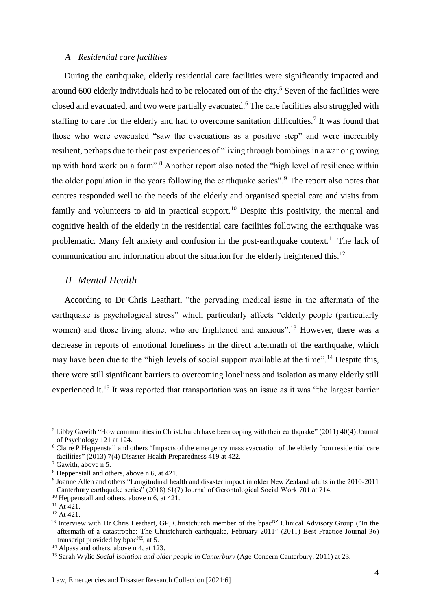#### <span id="page-3-0"></span>*A Residential care facilities*

During the earthquake, elderly residential care facilities were significantly impacted and around 600 elderly individuals had to be relocated out of the city.<sup>5</sup> Seven of the facilities were closed and evacuated, and two were partially evacuated.<sup>6</sup> The care facilities also struggled with staffing to care for the elderly and had to overcome sanitation difficulties.<sup>7</sup> It was found that those who were evacuated "saw the evacuations as a positive step" and were incredibly resilient, perhaps due to their past experiences of "living through bombings in a war or growing up with hard work on a farm".<sup>8</sup> Another report also noted the "high level of resilience within the older population in the years following the earthquake series". <sup>9</sup> The report also notes that centres responded well to the needs of the elderly and organised special care and visits from family and volunteers to aid in practical support.<sup>10</sup> Despite this positivity, the mental and cognitive health of the elderly in the residential care facilities following the earthquake was problematic. Many felt anxiety and confusion in the post-earthquake context.<sup>11</sup> The lack of communication and information about the situation for the elderly heightened this.<sup>12</sup>

#### <span id="page-3-1"></span>*II Mental Health*

According to Dr Chris Leathart, "the pervading medical issue in the aftermath of the earthquake is psychological stress" which particularly affects "elderly people (particularly women) and those living alone, who are frightened and anxious".<sup>13</sup> However, there was a decrease in reports of emotional loneliness in the direct aftermath of the earthquake, which may have been due to the "high levels of social support available at the time".<sup>14</sup> Despite this, there were still significant barriers to overcoming loneliness and isolation as many elderly still experienced it.<sup>15</sup> It was reported that transportation was an issue as it was "the largest barrier

<sup>5</sup> Libby Gawith "How communities in Christchurch have been coping with their earthquake" (2011) 40(4) Journal of Psychology 121 at 124.

<sup>&</sup>lt;sup>6</sup> Claire P Heppenstall and others "Impacts of the emergency mass evacuation of the elderly from residential care facilities" (2013) 7(4) Disaster Health Preparedness 419 at 422.

<sup>7</sup> Gawith, above n 5.

<sup>8</sup> Heppenstall and others, above n 6, at 421.

<sup>9</sup> Joanne Allen and others "Longitudinal health and disaster impact in older New Zealand adults in the 2010-2011 Canterbury earthquake series" (2018) 61(7) Journal of Gerontological Social Work 701 at 714.

<sup>&</sup>lt;sup>10</sup> Heppenstall and others, above n 6, at 421.

 $11$  At 421.

<sup>12</sup> At 421.

<sup>&</sup>lt;sup>13</sup> Interview with Dr Chris Leathart, GP, Christchurch member of the bpac<sup>NZ</sup> Clinical Advisory Group ("In the aftermath of a catastrophe: The Christchurch earthquake, February 2011" (2011) Best Practice Journal 36) transcript provided by  $b$ pac<sup>NZ</sup>, at 5.

<sup>&</sup>lt;sup>14</sup> Alpass and others, above n 4, at 123.

<sup>15</sup> Sarah Wylie *Social isolation and older people in Canterbury* (Age Concern Canterbury, 2011) at 23.